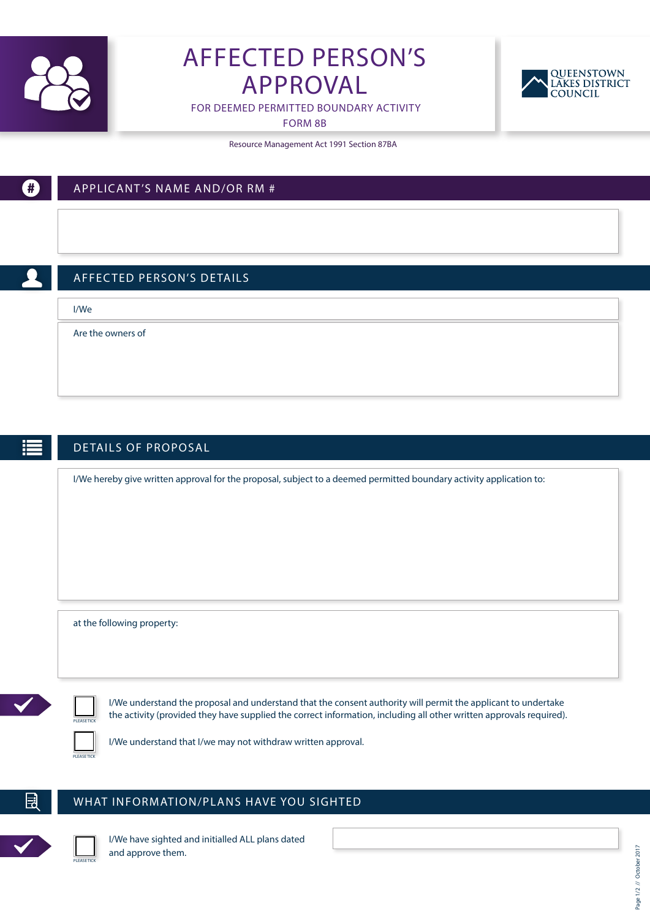

# AFFECTED PERSON'S APPROVAL



FOR DEEMED PERMITTED BOUNDARY ACTIVITY

FORM 8B

Resource Management Act 1991 Section 87BA



Ð

## APPLICANT'S NAME AND/OR RM #

### AFFEC TED PERSON'S DETAILS

I/We

Are the owners of

#### DETAILS OF PROPOSAL

I/We hereby give written approval for the proposal, subject to a deemed permitted boundary activity application to:

at the following property:

PLEASE TICK

I/We understand the proposal and understand that the consent authority will permit the applicant to undertake the activity (provided they have supplied the correct information, including all other written approvals required).



I/We understand that I/we may not withdraw written approval.

#### WHAT INFORMATION/PLANS HAVE YOU SIGHTED



F

I/We have sighted and initialled ALL plans dated and approve them.